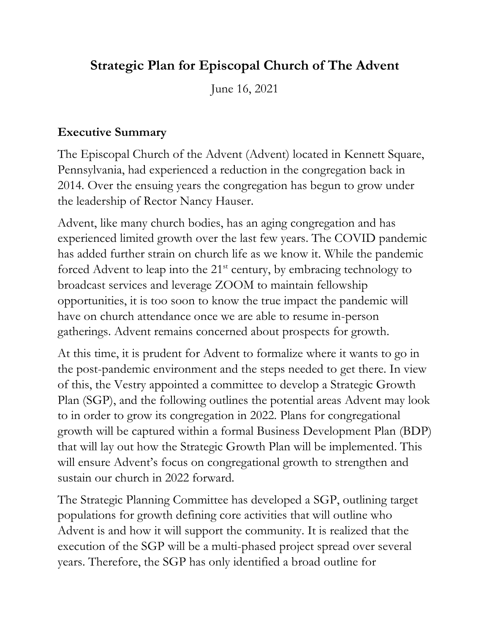## **Strategic Plan for Episcopal Church of The Advent**

June 16, 2021

#### **Executive Summary**

The Episcopal Church of the Advent (Advent) located in Kennett Square, Pennsylvania, had experienced a reduction in the congregation back in 2014. Over the ensuing years the congregation has begun to grow under the leadership of Rector Nancy Hauser.

Advent, like many church bodies, has an aging congregation and has experienced limited growth over the last few years. The COVID pandemic has added further strain on church life as we know it. While the pandemic forced Advent to leap into the  $21<sup>st</sup>$  century, by embracing technology to broadcast services and leverage ZOOM to maintain fellowship opportunities, it is too soon to know the true impact the pandemic will have on church attendance once we are able to resume in-person gatherings. Advent remains concerned about prospects for growth.

At this time, it is prudent for Advent to formalize where it wants to go in the post-pandemic environment and the steps needed to get there. In view of this, the Vestry appointed a committee to develop a Strategic Growth Plan (SGP), and the following outlines the potential areas Advent may look to in order to grow its congregation in 2022. Plans for congregational growth will be captured within a formal Business Development Plan (BDP) that will lay out how the Strategic Growth Plan will be implemented. This will ensure Advent's focus on congregational growth to strengthen and sustain our church in 2022 forward.

The Strategic Planning Committee has developed a SGP, outlining target populations for growth defining core activities that will outline who Advent is and how it will support the community. It is realized that the execution of the SGP will be a multi-phased project spread over several years. Therefore, the SGP has only identified a broad outline for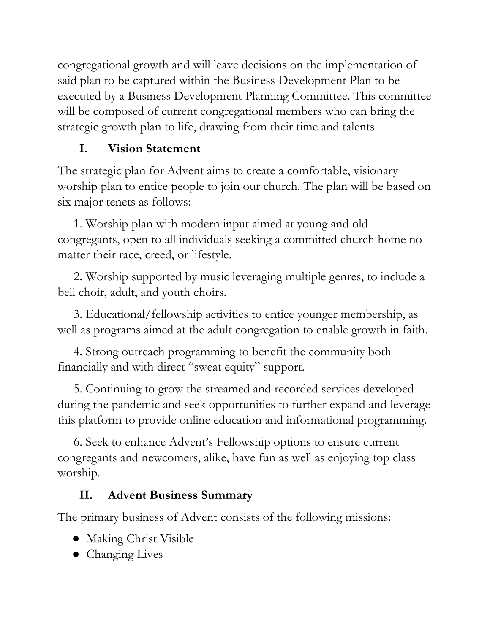congregational growth and will leave decisions on the implementation of said plan to be captured within the Business Development Plan to be executed by a Business Development Planning Committee. This committee will be composed of current congregational members who can bring the strategic growth plan to life, drawing from their time and talents.

# **I. Vision Statement**

The strategic plan for Advent aims to create a comfortable, visionary worship plan to entice people to join our church. The plan will be based on six major tenets as follows:

 1. Worship plan with modern input aimed at young and old congregants, open to all individuals seeking a committed church home no matter their race, creed, or lifestyle.

 2. Worship supported by music leveraging multiple genres, to include a bell choir, adult, and youth choirs.

 3. Educational/fellowship activities to entice younger membership, as well as programs aimed at the adult congregation to enable growth in faith.

 4. Strong outreach programming to benefit the community both financially and with direct "sweat equity" support.

 5. Continuing to grow the streamed and recorded services developed during the pandemic and seek opportunities to further expand and leverage this platform to provide online education and informational programming.

 6. Seek to enhance Advent's Fellowship options to ensure current congregants and newcomers, alike, have fun as well as enjoying top class worship.

# **II. Advent Business Summary**

The primary business of Advent consists of the following missions:

- Making Christ Visible
- Changing Lives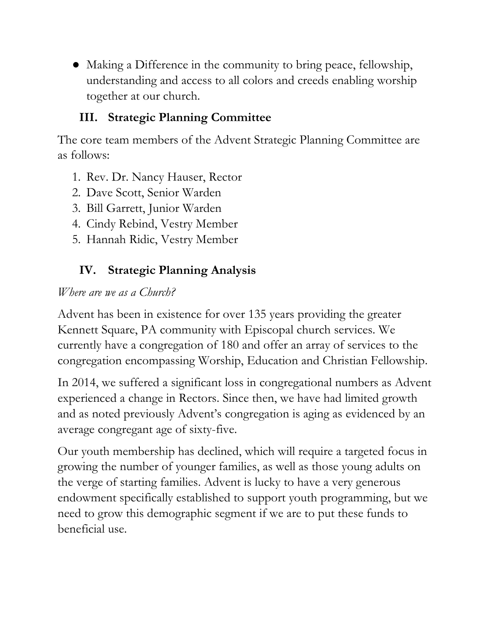● Making a Difference in the community to bring peace, fellowship, understanding and access to all colors and creeds enabling worship together at our church.

## **III. Strategic Planning Committee**

The core team members of the Advent Strategic Planning Committee are as follows:

- 1. Rev. Dr. Nancy Hauser, Rector
- 2. Dave Scott, Senior Warden
- 3. Bill Garrett, Junior Warden
- 4. Cindy Rebind, Vestry Member
- 5. Hannah Ridic, Vestry Member

# **IV. Strategic Planning Analysis**

#### *Where are we as a Church?*

Advent has been in existence for over 135 years providing the greater Kennett Square, PA community with Episcopal church services. We currently have a congregation of 180 and offer an array of services to the congregation encompassing Worship, Education and Christian Fellowship.

In 2014, we suffered a significant loss in congregational numbers as Advent experienced a change in Rectors. Since then, we have had limited growth and as noted previously Advent's congregation is aging as evidenced by an average congregant age of sixty-five.

Our youth membership has declined, which will require a targeted focus in growing the number of younger families, as well as those young adults on the verge of starting families. Advent is lucky to have a very generous endowment specifically established to support youth programming, but we need to grow this demographic segment if we are to put these funds to beneficial use.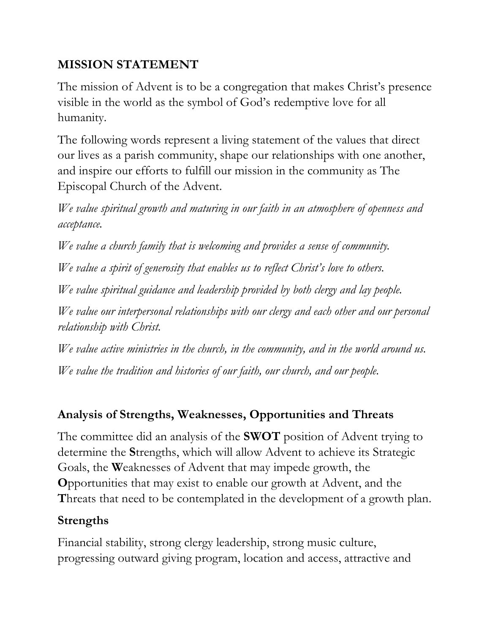### **MISSION STATEMENT**

The mission of Advent is to be a congregation that makes Christ's presence visible in the world as the symbol of God's redemptive love for all humanity.

The following words represent a living statement of the values that direct our lives as a parish community, shape our relationships with one another, and inspire our efforts to fulfill our mission in the community as The Episcopal Church of the Advent.

*We value spiritual growth and maturing in our faith in an atmosphere of openness and acceptance.*

*We value a church family that is welcoming and provides a sense of community.*

*We value a spirit of generosity that enables us to reflect Christ's love to others.*

*We value spiritual guidance and leadership provided by both clergy and lay people.*

*We value our interpersonal relationships with our clergy and each other and our personal relationship with Christ.*

*We value active ministries in the church, in the community, and in the world around us. We value the tradition and histories of our faith, our church, and our people.*

## **Analysis of Strengths, Weaknesses, Opportunities and Threats**

The committee did an analysis of the **SWOT** position of Advent trying to determine the **S**trengths, which will allow Advent to achieve its Strategic Goals, the **W**eaknesses of Advent that may impede growth, the **O**pportunities that may exist to enable our growth at Advent, and the **T**hreats that need to be contemplated in the development of a growth plan.

#### **Strengths**

Financial stability, strong clergy leadership, strong music culture, progressing outward giving program, location and access, attractive and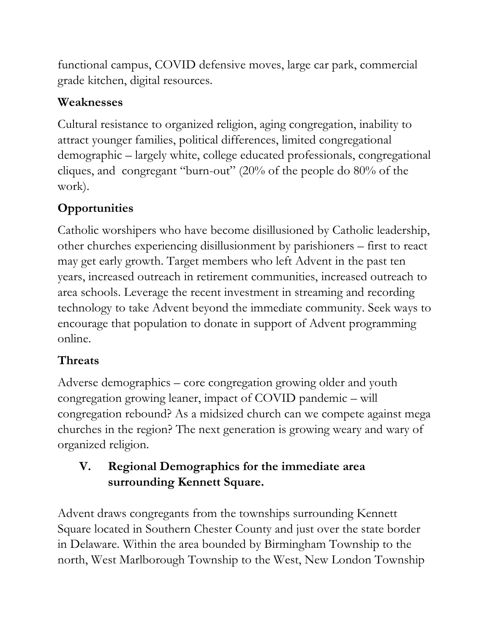functional campus, COVID defensive moves, large car park, commercial grade kitchen, digital resources.

#### **Weaknesses**

Cultural resistance to organized religion, aging congregation, inability to attract younger families, political differences, limited congregational demographic – largely white, college educated professionals, congregational cliques, and congregant "burn-out" (20% of the people do 80% of the work).

# **Opportunities**

Catholic worshipers who have become disillusioned by Catholic leadership, other churches experiencing disillusionment by parishioners – first to react may get early growth. Target members who left Advent in the past ten years, increased outreach in retirement communities, increased outreach to area schools. Leverage the recent investment in streaming and recording technology to take Advent beyond the immediate community. Seek ways to encourage that population to donate in support of Advent programming online.

# **Threats**

Adverse demographics – core congregation growing older and youth congregation growing leaner, impact of COVID pandemic – will congregation rebound? As a midsized church can we compete against mega churches in the region? The next generation is growing weary and wary of organized religion.

## **V. Regional Demographics for the immediate area surrounding Kennett Square.**

Advent draws congregants from the townships surrounding Kennett Square located in Southern Chester County and just over the state border in Delaware. Within the area bounded by Birmingham Township to the north, West Marlborough Township to the West, New London Township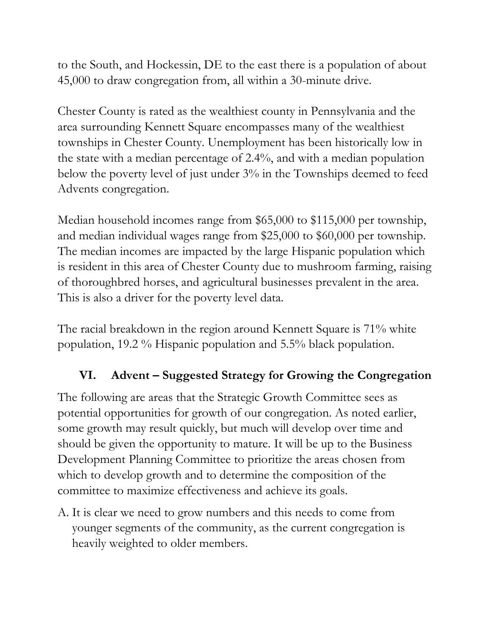to the South, and Hockessin, DE to the east there is a population of about 45,000 to draw congregation from, all within a 30-minute drive.

Chester County is rated as the wealthiest county in Pennsylvania and the area surrounding Kennett Square encompasses many of the wealthiest townships in Chester County. Unemployment has been historically low in the state with a median percentage of 2.4%, and with a median population below the poverty level of just under 3% in the Townships deemed to feed Advents congregation.

Median household incomes range from \$65,000 to \$115,000 per township, and median individual wages range from \$25,000 to \$60,000 per township. The median incomes are impacted by the large Hispanic population which is resident in this area of Chester County due to mushroom farming, raising of thoroughbred horses, and agricultural businesses prevalent in the area. This is also a driver for the poverty level data.

The racial breakdown in the region around Kennett Square is 71% white population, 19.2 % Hispanic population and 5.5% black population.

#### **VI. Advent – Suggested Strategy for Growing the Congregation**

The following are areas that the Strategic Growth Committee sees as potential opportunities for growth of our congregation. As noted earlier, some growth may result quickly, but much will develop over time and should be given the opportunity to mature. It will be up to the Business Development Planning Committee to prioritize the areas chosen from which to develop growth and to determine the composition of the committee to maximize effectiveness and achieve its goals.

A. It is clear we need to grow numbers and this needs to come from younger segments of the community, as the current congregation is heavily weighted to older members.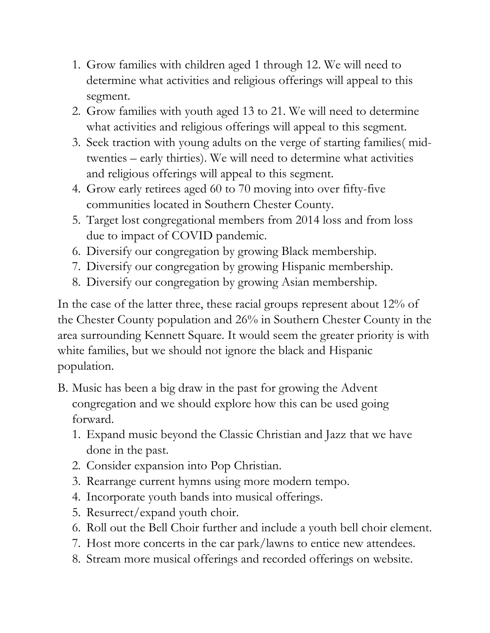- 1. Grow families with children aged 1 through 12. We will need to determine what activities and religious offerings will appeal to this segment.
- 2. Grow families with youth aged 13 to 21. We will need to determine what activities and religious offerings will appeal to this segment.
- 3. Seek traction with young adults on the verge of starting families( midtwenties – early thirties). We will need to determine what activities and religious offerings will appeal to this segment.
- 4. Grow early retirees aged 60 to 70 moving into over fifty-five communities located in Southern Chester County.
- 5. Target lost congregational members from 2014 loss and from loss due to impact of COVID pandemic.
- 6. Diversify our congregation by growing Black membership.
- 7. Diversify our congregation by growing Hispanic membership.
- 8. Diversify our congregation by growing Asian membership.

In the case of the latter three, these racial groups represent about 12% of the Chester County population and 26% in Southern Chester County in the area surrounding Kennett Square. It would seem the greater priority is with white families, but we should not ignore the black and Hispanic population.

- B. Music has been a big draw in the past for growing the Advent congregation and we should explore how this can be used going forward.
	- 1. Expand music beyond the Classic Christian and Jazz that we have done in the past.
	- 2. Consider expansion into Pop Christian.
	- 3. Rearrange current hymns using more modern tempo.
	- 4. Incorporate youth bands into musical offerings.
	- 5. Resurrect/expand youth choir.
	- 6. Roll out the Bell Choir further and include a youth bell choir element.
	- 7. Host more concerts in the car park/lawns to entice new attendees.
	- 8. Stream more musical offerings and recorded offerings on website.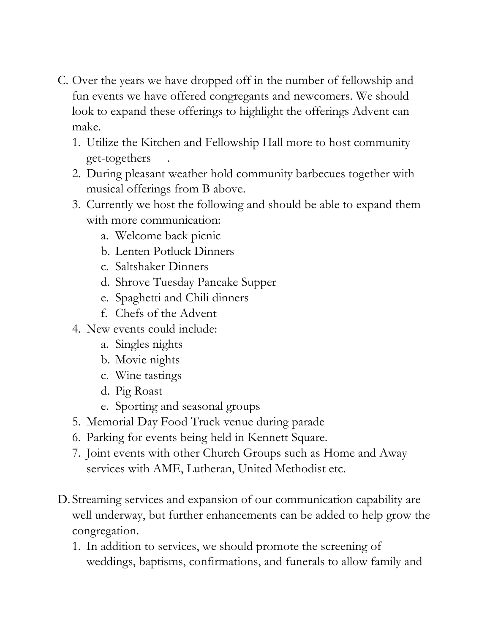- C. Over the years we have dropped off in the number of fellowship and fun events we have offered congregants and newcomers. We should look to expand these offerings to highlight the offerings Advent can make.
	- 1. Utilize the Kitchen and Fellowship Hall more to host community get-togethers .
	- 2. During pleasant weather hold community barbecues together with musical offerings from B above.
	- 3. Currently we host the following and should be able to expand them with more communication:
		- a. Welcome back picnic
		- b. Lenten Potluck Dinners
		- c. Saltshaker Dinners
		- d. Shrove Tuesday Pancake Supper
		- e. Spaghetti and Chili dinners
		- f. Chefs of the Advent
	- 4. New events could include:
		- a. Singles nights
		- b. Movie nights
		- c. Wine tastings
		- d. Pig Roast
		- e. Sporting and seasonal groups
	- 5. Memorial Day Food Truck venue during parade
	- 6. Parking for events being held in Kennett Square.
	- 7. Joint events with other Church Groups such as Home and Away services with AME, Lutheran, United Methodist etc.
- D. Streaming services and expansion of our communication capability are well underway, but further enhancements can be added to help grow the congregation.
	- 1. In addition to services, we should promote the screening of weddings, baptisms, confirmations, and funerals to allow family and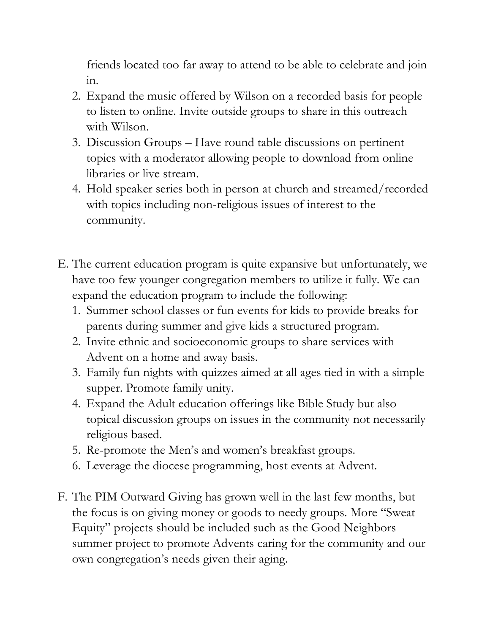friends located too far away to attend to be able to celebrate and join in.

- 2. Expand the music offered by Wilson on a recorded basis for people to listen to online. Invite outside groups to share in this outreach with Wilson.
- 3. Discussion Groups Have round table discussions on pertinent topics with a moderator allowing people to download from online libraries or live stream.
- 4. Hold speaker series both in person at church and streamed/recorded with topics including non-religious issues of interest to the community.
- E. The current education program is quite expansive but unfortunately, we have too few younger congregation members to utilize it fully. We can expand the education program to include the following:
	- 1. Summer school classes or fun events for kids to provide breaks for parents during summer and give kids a structured program.
	- 2. Invite ethnic and socioeconomic groups to share services with Advent on a home and away basis.
	- 3. Family fun nights with quizzes aimed at all ages tied in with a simple supper. Promote family unity.
	- 4. Expand the Adult education offerings like Bible Study but also topical discussion groups on issues in the community not necessarily religious based.
	- 5. Re-promote the Men's and women's breakfast groups.
	- 6. Leverage the diocese programming, host events at Advent.
- F. The PIM Outward Giving has grown well in the last few months, but the focus is on giving money or goods to needy groups. More "Sweat Equity" projects should be included such as the Good Neighbors summer project to promote Advents caring for the community and our own congregation's needs given their aging.